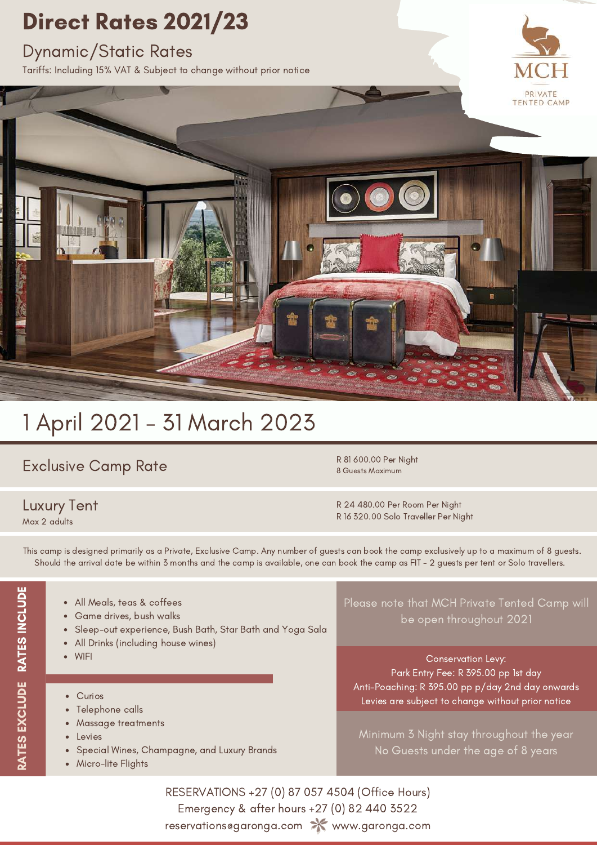### Direct Rates 2021/23

#### Dynamic/Static Rates

Tariffs: Including 15% VAT & Subject to change without prior notice





### 1 April 2021 - 31 March 2023

#### Exclusive Camp Rate

#### Luxury Tent Max 2 adults

R 81 600.00 Per Night 8 Guests Maximum

R 24 480.00 Per Room Per Night R 16 320.00 Solo Traveller Per Night

This camp is designed primarily as a Private, Exclusive Camp. Any number of guests can book the camp exclusively up to a maximum of 8 guests. Should the arrival date be within 3 months and the camp is available, one can book the camp as FIT - 2 guests per tent or Solo travellers.

- All Meals, teas & coffees
- Game drives, bush walks
- Sleep-out experience, Bush Bath, Star Bath and Yoga Sala  $\bullet$
- All Drinks (including house wines)
- WIFI
- Curios
- Telephone calls
- Massage treatments  $\bullet$
- Levies
- Special Wines, Champagne, and Luxury Brands
- Micro-lite Flights

Please note that MCH Private Tented Camp will be open throughout 2021

Conservation Levy: Park Entry Fee: R 395.00 pp 1st day Anti-Poaching: R 395.00 pp p/day 2nd day onwards Levies are subject to change without prior notice

Minimum 3 Night stay throughout the year No Guests under the age of 8 years

RESERVATIONS +27 (0) 87 057 4504 (Office Hours) Emergency & after hours +27 (0) 82 440 3522 reservations@garonga.com X www.garonga.com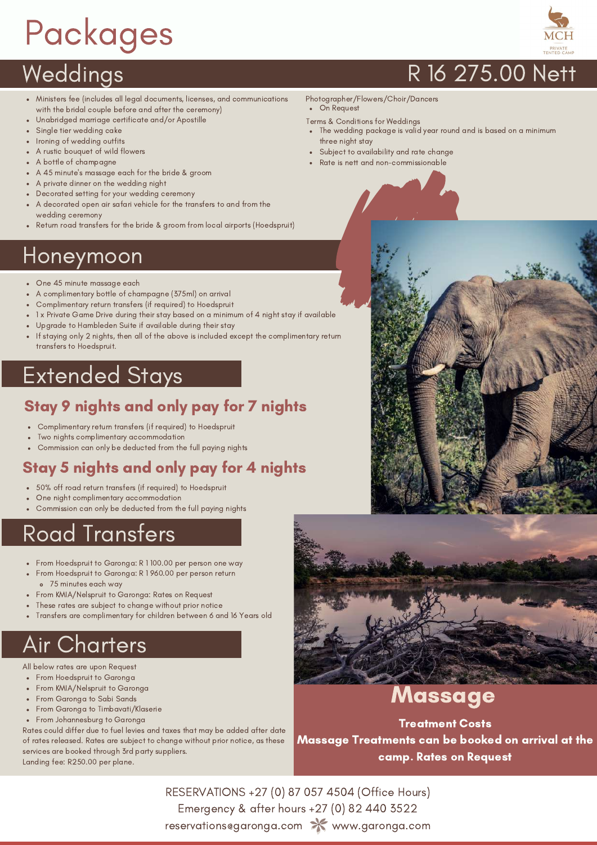# Packages



- Ministers fee (includes all legal documents, licenses, and communications with the bridal couple before and after the ceremony)
- Unabridged marriage certificate and/or Apostille
- Single tier wedding cake
- Ironing of wedding outfits A rustic bouquet of wild flowers
- A bottle of champagne
- A 45 minute's massage each for the bride & groom
- A private dinner on the wedding night
- Decorated setting for your wedding ceremony
- A decorated open air safari vehicle for the transfers to and from the wedding ceremony
- Return road transfers for the bride & groom from local airports (Hoedspruit)

### Honeymoon

- One 45 minute massage each
- A complimentary bottle of champagne (375ml) on arrival
- Complimentary return transfers (if required) to Hoedspruit
- 1 x Private Game Drive during their stay based on a minimum of 4 night stay if available
- Upgrade to Hambleden Suite if available during their stay
- If staying only 2 nights, then all of the above is included except the complimentary return transfers to Hoedspruit.

### Extended Stays

#### Stay 9 nights and only pay for 7 nights

- Complimentary return transfers (if required) to Hoedspruit
- Two nights complimentary accommodation
- Commission can only be deducted from the full paying nights

### Stay 5 nights and only pay for 4 nights

- 50% off road return transfers (if required) to Hoedspruit
- One night complimentary accommodation
- Commission can only be deducted from the full paying nights

### Road Transfers

- From Hoedspruit to Garonga: R 1 100.00 per person one way
- From Hoedspruit to Garonga: R 1 960.00 per person return
- 75 minutes each way
- From KMIA/Nelspruit to Garonga: Rates on Request
- These rates are subject to change without prior notice
- Transfers are complimentary for children between 6 and 16 Years old

### Air Charters

- All below rates are upon Request
- From Hoedspruit to Garonga
- From KMIA/Nelspruit to Garonga
- From Garonga to Sabi Sands
- From Garonga to Timbavati/Klaserie
- From Johannesburg to Garonga

Rates could differ due to fuel levies and taxes that may be added after date of rates released. Rates are subject to change without prior notice, as these services are booked through 3rd party suppliers. Landing fee: R250.00 per plane.

### Weddings R 16 275.00 Nett

Photographer/Flowers/Choir/Dancers

On Request

- Terms & Conditions for Weddings
- The wedding package is valid year round and is based on a minimum three night stay
- Subject to availability and rate change
- Rate is nett and non-commissionable





### Massage

Treatment Costs Massage Treatments can be booked on arrival at the camp. Rates on Request

RESERVATIONS +27 (0) 87 057 4504 (Office Hours) Emergency & after hours +27 (0) 82 440 3522 reservations@garonga.com X www.garonga.com